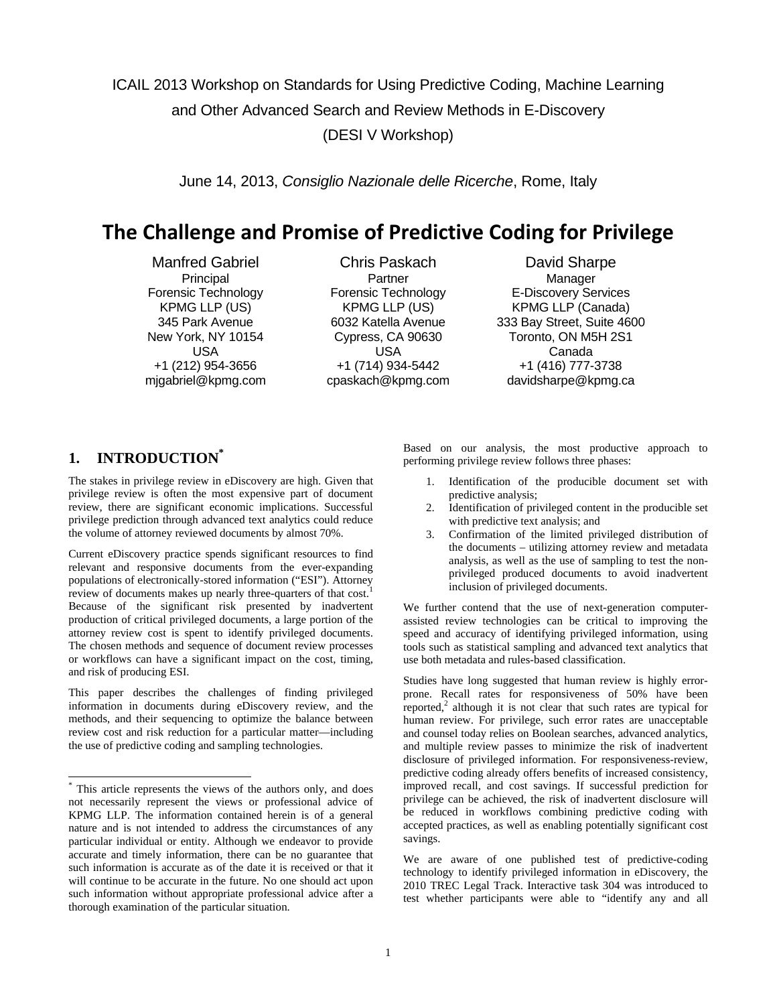ICAIL 2013 Workshop on Standards for Using Predictive Coding, Machine Learning and Other Advanced Search and Review Methods in E-Discovery (DESI V Workshop)

June 14, 2013, *Consiglio Nazionale delle Ricerche*, Rome, Italy

# **The Challenge and Promise of Predictive Coding for Privilege**

Manfred Gabriel **Chris Paskach** David Sharpe Principal Partner Partner Partner Manager USA USA Canada

 Forensic Technology Forensic Technology E-Discovery Services KPMG LLP (US) KPMG LLP (US) KPMG LLP (Canada) 345 Park Avenue 6032 Katella Avenue 333 Bay Street, Suite 4600 New York, NY 10154 Cypress, CA 90630 Toronto, ON M5H 2S1 +1 (212) 954-3656 +1 (714) 934-5442 +1 (416) 777-3738 mjgabriel@kpmg.com cpaskach@kpmg.com davidsharpe@kpmg.ca

# **1. INTRODUCTION\***

l

The stakes in privilege review in eDiscovery are high. Given that privilege review is often the most expensive part of document review, there are significant economic implications. Successful privilege prediction through advanced text analytics could reduce the volume of attorney reviewed documents by almost 70%.

Current eDiscovery practice spends significant resources to find relevant and responsive documents from the ever-expanding populations of electronically-stored information ("ESI"). Attorney review of documents makes up nearly three-quarters of that cost.<sup>1</sup> Because of the significant risk presented by inadvertent production of critical privileged documents, a large portion of the attorney review cost is spent to identify privileged documents. The chosen methods and sequence of document review processes or workflows can have a significant impact on the cost, timing, and risk of producing ESI.

This paper describes the challenges of finding privileged information in documents during eDiscovery review, and the methods, and their sequencing to optimize the balance between review cost and risk reduction for a particular matter—including the use of predictive coding and sampling technologies.

Based on our analysis, the most productive approach to performing privilege review follows three phases:

- 1. Identification of the producible document set with predictive analysis;
- 2. Identification of privileged content in the producible set with predictive text analysis; and
- 3. Confirmation of the limited privileged distribution of the documents – utilizing attorney review and metadata analysis, as well as the use of sampling to test the nonprivileged produced documents to avoid inadvertent inclusion of privileged documents.

We further contend that the use of next-generation computerassisted review technologies can be critical to improving the speed and accuracy of identifying privileged information, using tools such as statistical sampling and advanced text analytics that use both metadata and rules-based classification.

Studies have long suggested that human review is highly errorprone. Recall rates for responsiveness of 50% have been reported,<sup>2</sup> although it is not clear that such rates are typical for human review. For privilege, such error rates are unacceptable and counsel today relies on Boolean searches, advanced analytics, and multiple review passes to minimize the risk of inadvertent disclosure of privileged information. For responsiveness-review, predictive coding already offers benefits of increased consistency, improved recall, and cost savings. If successful prediction for privilege can be achieved, the risk of inadvertent disclosure will be reduced in workflows combining predictive coding with accepted practices, as well as enabling potentially significant cost savings.

We are aware of one published test of predictive-coding technology to identify privileged information in eDiscovery, the 2010 TREC Legal Track. Interactive task 304 was introduced to test whether participants were able to "identify any and all

<sup>\*</sup> This article represents the views of the authors only, and does not necessarily represent the views or professional advice of KPMG LLP. The information contained herein is of a general nature and is not intended to address the circumstances of any particular individual or entity. Although we endeavor to provide accurate and timely information, there can be no guarantee that such information is accurate as of the date it is received or that it will continue to be accurate in the future. No one should act upon such information without appropriate professional advice after a thorough examination of the particular situation.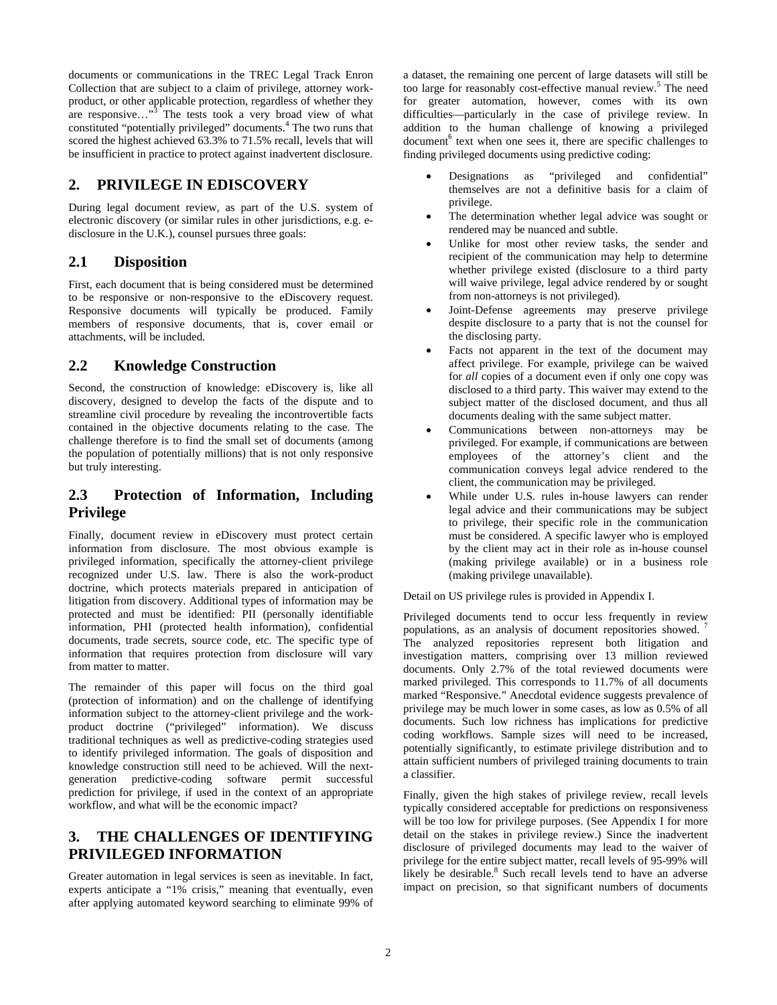documents or communications in the TREC Legal Track Enron Collection that are subject to a claim of privilege, attorney workproduct, or other applicable protection, regardless of whether they are responsive..."<sup>3</sup> The tests took a very broad view of what constituted "potentially privileged" documents.<sup>4</sup> The two runs that scored the highest achieved 63.3% to 71.5% recall, levels that will be insufficient in practice to protect against inadvertent disclosure.

## **2. PRIVILEGE IN EDISCOVERY**

During legal document review, as part of the U.S. system of electronic discovery (or similar rules in other jurisdictions, e.g. edisclosure in the U.K.), counsel pursues three goals:

#### **2.1 Disposition**

First, each document that is being considered must be determined to be responsive or non-responsive to the eDiscovery request. Responsive documents will typically be produced. Family members of responsive documents, that is, cover email or attachments, will be included.

## **2.2 Knowledge Construction**

Second, the construction of knowledge: eDiscovery is, like all discovery, designed to develop the facts of the dispute and to streamline civil procedure by revealing the incontrovertible facts contained in the objective documents relating to the case. The challenge therefore is to find the small set of documents (among the population of potentially millions) that is not only responsive but truly interesting.

## **2.3 Protection of Information, Including Privilege**

Finally, document review in eDiscovery must protect certain information from disclosure. The most obvious example is privileged information, specifically the attorney-client privilege recognized under U.S. law. There is also the work-product doctrine, which protects materials prepared in anticipation of litigation from discovery. Additional types of information may be protected and must be identified: PII (personally identifiable information, PHI (protected health information), confidential documents, trade secrets, source code, etc. The specific type of information that requires protection from disclosure will vary from matter to matter.

The remainder of this paper will focus on the third goal (protection of information) and on the challenge of identifying information subject to the attorney-client privilege and the workproduct doctrine ("privileged" information). We discuss traditional techniques as well as predictive-coding strategies used to identify privileged information. The goals of disposition and knowledge construction still need to be achieved. Will the nextgeneration predictive-coding software permit successful prediction for privilege, if used in the context of an appropriate workflow, and what will be the economic impact?

## **3. THE CHALLENGES OF IDENTIFYING PRIVILEGED INFORMATION**

Greater automation in legal services is seen as inevitable. In fact, experts anticipate a "1% crisis," meaning that eventually, even after applying automated keyword searching to eliminate 99% of

a dataset, the remaining one percent of large datasets will still be too large for reasonably cost-effective manual review.<sup>5</sup> The need for greater automation, however, comes with its own difficulties—particularly in the case of privilege review. In addition to the human challenge of knowing a privileged document<sup>6</sup> text when one sees it, there are specific challenges to finding privileged documents using predictive coding:

- Designations as "privileged and confidential" themselves are not a definitive basis for a claim of privilege.
- The determination whether legal advice was sought or rendered may be nuanced and subtle.
- Unlike for most other review tasks, the sender and recipient of the communication may help to determine whether privilege existed (disclosure to a third party will waive privilege, legal advice rendered by or sought from non-attorneys is not privileged).
- Joint-Defense agreements may preserve privilege despite disclosure to a party that is not the counsel for the disclosing party.
- Facts not apparent in the text of the document may affect privilege. For example, privilege can be waived for *all* copies of a document even if only one copy was disclosed to a third party. This waiver may extend to the subject matter of the disclosed document, and thus all documents dealing with the same subject matter.
- Communications between non-attorneys may be privileged. For example, if communications are between employees of the attorney's client and the communication conveys legal advice rendered to the client, the communication may be privileged.
- While under U.S. rules in-house lawyers can render legal advice and their communications may be subject to privilege, their specific role in the communication must be considered. A specific lawyer who is employed by the client may act in their role as in-house counsel (making privilege available) or in a business role (making privilege unavailable).

Detail on US privilege rules is provided in Appendix I.

Privileged documents tend to occur less frequently in review populations, as an analysis of document repositories showed. 7 The analyzed repositories represent both litigation and investigation matters, comprising over 13 million reviewed documents. Only 2.7% of the total reviewed documents were marked privileged. This corresponds to 11.7% of all documents marked "Responsive." Anecdotal evidence suggests prevalence of privilege may be much lower in some cases, as low as 0.5% of all documents. Such low richness has implications for predictive coding workflows. Sample sizes will need to be increased, potentially significantly, to estimate privilege distribution and to attain sufficient numbers of privileged training documents to train a classifier.

Finally, given the high stakes of privilege review, recall levels typically considered acceptable for predictions on responsiveness will be too low for privilege purposes. (See Appendix I for more detail on the stakes in privilege review.) Since the inadvertent disclosure of privileged documents may lead to the waiver of privilege for the entire subject matter, recall levels of 95-99% will likely be desirable.<sup>8</sup> Such recall levels tend to have an adverse impact on precision, so that significant numbers of documents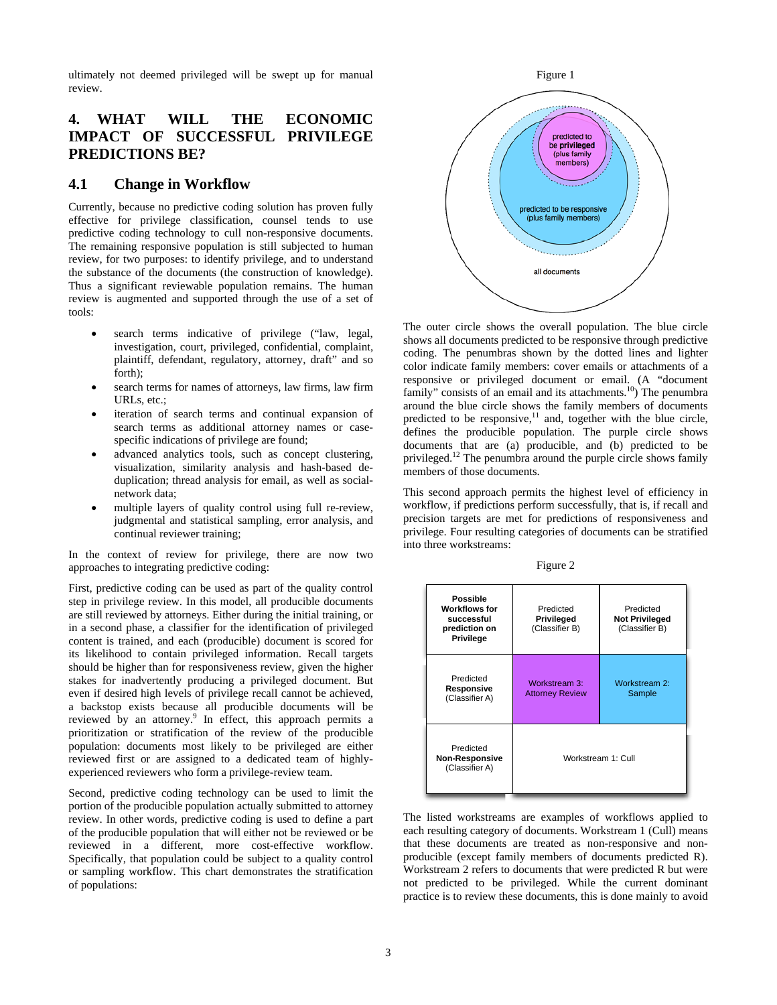ultimately not deemed privileged will be swept up for manual review.

## **4. WHAT WILL THE ECONOMIC IMPACT OF SUCCESSFUL PRIVILEGE PREDICTIONS BE?**

#### **4.1 Change in Workflow**

Currently, because no predictive coding solution has proven fully effective for privilege classification, counsel tends to use predictive coding technology to cull non-responsive documents. The remaining responsive population is still subjected to human review, for two purposes: to identify privilege, and to understand the substance of the documents (the construction of knowledge). Thus a significant reviewable population remains. The human review is augmented and supported through the use of a set of tools:

- search terms indicative of privilege ("law, legal, investigation, court, privileged, confidential, complaint, plaintiff, defendant, regulatory, attorney, draft" and so forth);
- search terms for names of attorneys, law firms, law firm URLs, etc.;
- iteration of search terms and continual expansion of search terms as additional attorney names or casespecific indications of privilege are found;
- advanced analytics tools, such as concept clustering, visualization, similarity analysis and hash-based deduplication; thread analysis for email, as well as socialnetwork data;
- multiple layers of quality control using full re-review, judgmental and statistical sampling, error analysis, and continual reviewer training;

In the context of review for privilege, there are now two approaches to integrating predictive coding:

First, predictive coding can be used as part of the quality control step in privilege review. In this model, all producible documents are still reviewed by attorneys. Either during the initial training, or in a second phase, a classifier for the identification of privileged content is trained, and each (producible) document is scored for its likelihood to contain privileged information. Recall targets should be higher than for responsiveness review, given the higher stakes for inadvertently producing a privileged document. But even if desired high levels of privilege recall cannot be achieved, a backstop exists because all producible documents will be reviewed by an attorney.<sup>9</sup> In effect, this approach permits a prioritization or stratification of the review of the producible population: documents most likely to be privileged are either reviewed first or are assigned to a dedicated team of highlyexperienced reviewers who form a privilege-review team.

Second, predictive coding technology can be used to limit the portion of the producible population actually submitted to attorney review. In other words, predictive coding is used to define a part of the producible population that will either not be reviewed or be reviewed in a different, more cost-effective workflow. Specifically, that population could be subject to a quality control or sampling workflow. This chart demonstrates the stratification of populations:



The outer circle shows the overall population. The blue circle shows all documents predicted to be responsive through predictive coding. The penumbras shown by the dotted lines and lighter color indicate family members: cover emails or attachments of a responsive or privileged document or email. (A "document family" consists of an email and its attachments.<sup>10</sup>) The penumbra around the blue circle shows the family members of documents predicted to be responsive, $11$  and, together with the blue circle, defines the producible population. The purple circle shows documents that are (a) producible, and (b) predicted to be privileged.12 The penumbra around the purple circle shows family members of those documents.

This second approach permits the highest level of efficiency in workflow, if predictions perform successfully, that is, if recall and precision targets are met for predictions of responsiveness and privilege. Four resulting categories of documents can be stratified into three workstreams:

|--|--|



The listed workstreams are examples of workflows applied to each resulting category of documents. Workstream 1 (Cull) means that these documents are treated as non-responsive and nonproducible (except family members of documents predicted R). Workstream 2 refers to documents that were predicted R but were not predicted to be privileged. While the current dominant practice is to review these documents, this is done mainly to avoid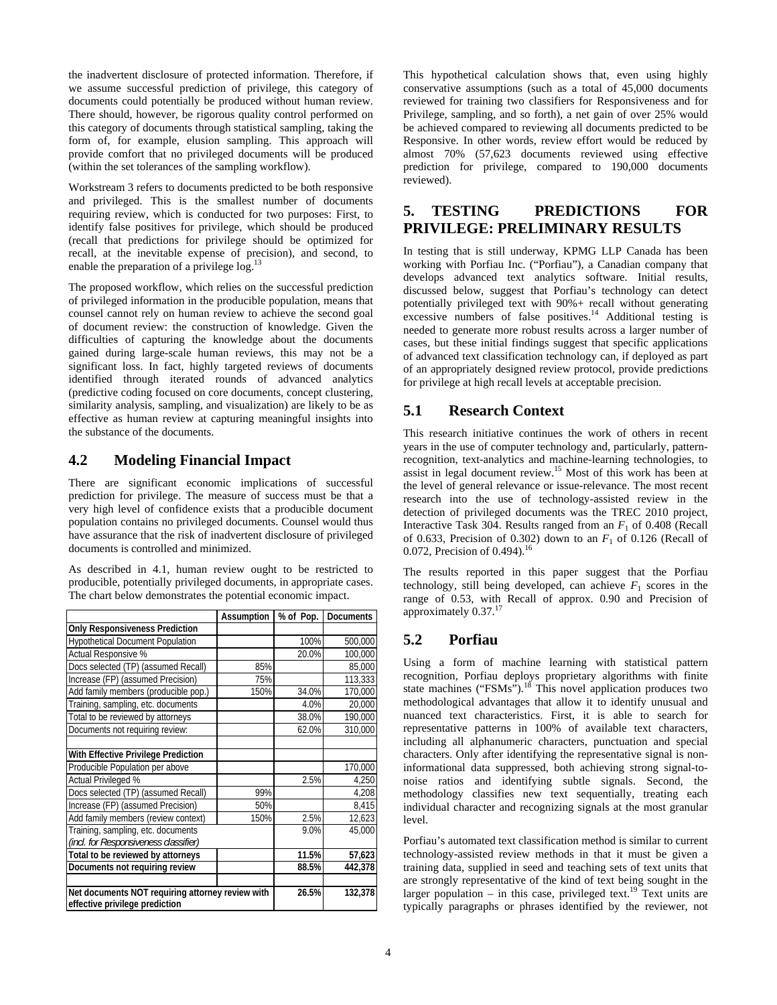the inadvertent disclosure of protected information. Therefore, if we assume successful prediction of privilege, this category of documents could potentially be produced without human review. There should, however, be rigorous quality control performed on this category of documents through statistical sampling, taking the form of, for example, elusion sampling. This approach will provide comfort that no privileged documents will be produced (within the set tolerances of the sampling workflow).

Workstream 3 refers to documents predicted to be both responsive and privileged. This is the smallest number of documents requiring review, which is conducted for two purposes: First, to identify false positives for privilege, which should be produced (recall that predictions for privilege should be optimized for recall, at the inevitable expense of precision), and second, to enable the preparation of a privilege log.<sup>13</sup>

The proposed workflow, which relies on the successful prediction of privileged information in the producible population, means that counsel cannot rely on human review to achieve the second goal of document review: the construction of knowledge. Given the difficulties of capturing the knowledge about the documents gained during large-scale human reviews, this may not be a significant loss. In fact, highly targeted reviews of documents identified through iterated rounds of advanced analytics (predictive coding focused on core documents, concept clustering, similarity analysis, sampling, and visualization) are likely to be as effective as human review at capturing meaningful insights into the substance of the documents.

## **4.2 Modeling Financial Impact**

There are significant economic implications of successful prediction for privilege. The measure of success must be that a very high level of confidence exists that a producible document population contains no privileged documents. Counsel would thus have assurance that the risk of inadvertent disclosure of privileged documents is controlled and minimized.

As described in 4.1, human review ought to be restricted to producible, potentially privileged documents, in appropriate cases. The chart below demonstrates the potential economic impact.

|                                                                                    | Assumption | % of Pop. | <b>Documents</b> |
|------------------------------------------------------------------------------------|------------|-----------|------------------|
| <b>Only Responsiveness Prediction</b>                                              |            |           |                  |
| <b>Hypothetical Document Population</b>                                            |            | 100%      | 500,000          |
| Actual Responsive %                                                                |            | 20.0%     | 100,000          |
| Docs selected (TP) (assumed Recall)                                                | 85%        |           | 85,000           |
| Increase (FP) (assumed Precision)                                                  | 75%        |           | 113.333          |
| Add family members (producible pop.)                                               | 150%       | 34.0%     | 170,000          |
| Training, sampling, etc. documents                                                 |            | 4.0%      | 20,000           |
| Total to be reviewed by attorneys                                                  |            | 38.0%     | 190,000          |
| Documents not requiring review:                                                    |            | 62.0%     | 310,000          |
|                                                                                    |            |           |                  |
| With Effective Privilege Prediction                                                |            |           |                  |
| Producible Population per above                                                    |            |           | 170,000          |
| Actual Privileged %                                                                |            | 2.5%      | 4,250            |
| Docs selected (TP) (assumed Recall)                                                | 99%        |           | 4,208            |
| Increase (FP) (assumed Precision)                                                  | 50%        |           | 8,415            |
| Add family members (review context)                                                | 150%       | 2.5%      | 12,623           |
| Training, sampling, etc. documents                                                 |            | 9.0%      | 45,000           |
| (incl. for Responsiveness classifier)                                              |            |           |                  |
| Total to be reviewed by attorneys                                                  |            | 11.5%     | 57,623           |
| Documents not requiring review                                                     |            | 88.5%     | 442,378          |
|                                                                                    |            |           |                  |
| Net documents NOT requiring attorney review with<br>effective privilege prediction |            | 26.5%     | 132,378          |

This hypothetical calculation shows that, even using highly conservative assumptions (such as a total of 45,000 documents reviewed for training two classifiers for Responsiveness and for Privilege, sampling, and so forth), a net gain of over 25% would be achieved compared to reviewing all documents predicted to be Responsive. In other words, review effort would be reduced by almost 70% (57,623 documents reviewed using effective prediction for privilege, compared to 190,000 documents reviewed).

## **5. TESTING PREDICTIONS FOR PRIVILEGE: PRELIMINARY RESULTS**

In testing that is still underway, KPMG LLP Canada has been working with Porfiau Inc. ("Porfiau"), a Canadian company that develops advanced text analytics software. Initial results, discussed below, suggest that Porfiau's technology can detect potentially privileged text with 90%+ recall without generating excessive numbers of false positives. $^{14}$  Additional testing is needed to generate more robust results across a larger number of cases, but these initial findings suggest that specific applications of advanced text classification technology can, if deployed as part of an appropriately designed review protocol, provide predictions for privilege at high recall levels at acceptable precision.

#### **5.1 Research Context**

This research initiative continues the work of others in recent years in the use of computer technology and, particularly, patternrecognition, text-analytics and machine-learning technologies, to assist in legal document review.15 Most of this work has been at the level of general relevance or issue-relevance. The most recent research into the use of technology-assisted review in the detection of privileged documents was the TREC 2010 project, Interactive Task 304. Results ranged from an *F*1 of 0.408 (Recall of 0.633, Precision of 0.302) down to an  $F_1$  of 0.126 (Recall of 0.072, Precision of 0.494).<sup>16</sup>

The results reported in this paper suggest that the Porfiau technology, still being developed, can achieve  $F_1$  scores in the range of 0.53, with Recall of approx. 0.90 and Precision of approximately  $0.37$ .<sup>17</sup>

## **5.2 Porfiau**

Using a form of machine learning with statistical pattern recognition, Porfiau deploys proprietary algorithms with finite state machines ("FSMs").<sup>18</sup> This novel application produces two methodological advantages that allow it to identify unusual and nuanced text characteristics. First, it is able to search for representative patterns in 100% of available text characters, including all alphanumeric characters, punctuation and special characters. Only after identifying the representative signal is noninformational data suppressed, both achieving strong signal-tonoise ratios and identifying subtle signals. Second, the methodology classifies new text sequentially, treating each individual character and recognizing signals at the most granular level.

Porfiau's automated text classification method is similar to current technology-assisted review methods in that it must be given a training data, supplied in seed and teaching sets of text units that are strongly representative of the kind of text being sought in the larger population – in this case, privileged text.<sup>19</sup> Text units are typically paragraphs or phrases identified by the reviewer, not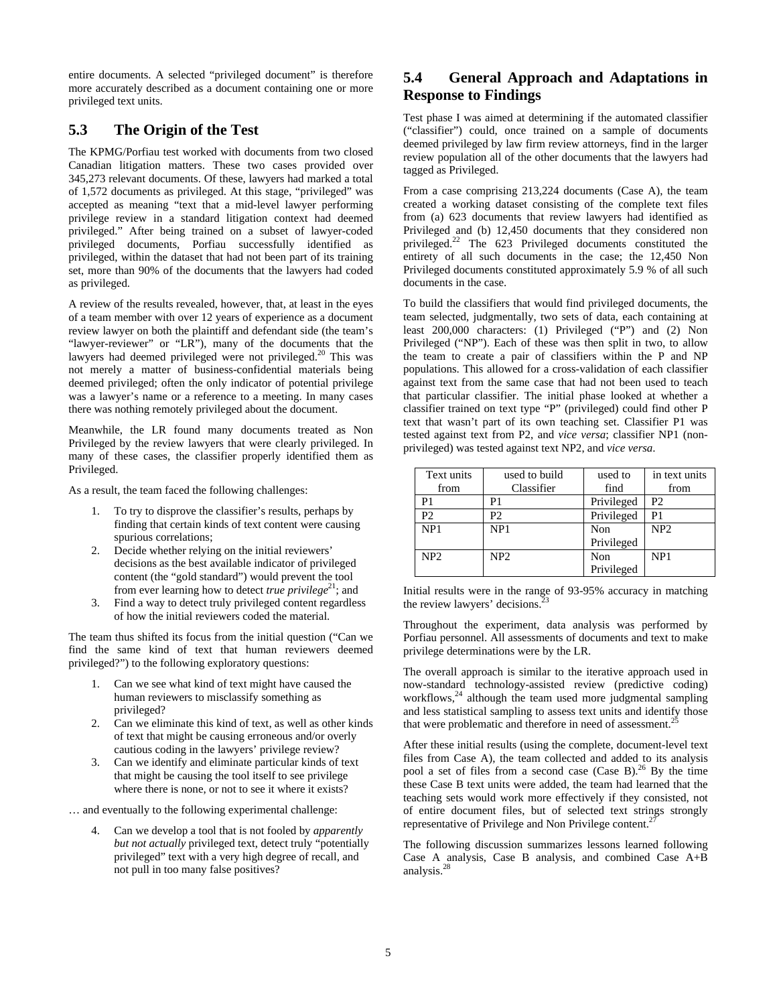entire documents. A selected "privileged document" is therefore more accurately described as a document containing one or more privileged text units.

## **5.3 The Origin of the Test**

The KPMG/Porfiau test worked with documents from two closed Canadian litigation matters. These two cases provided over 345,273 relevant documents. Of these, lawyers had marked a total of 1,572 documents as privileged. At this stage, "privileged" was accepted as meaning "text that a mid-level lawyer performing privilege review in a standard litigation context had deemed privileged." After being trained on a subset of lawyer-coded privileged documents, Porfiau successfully identified as privileged, within the dataset that had not been part of its training set, more than 90% of the documents that the lawyers had coded as privileged.

A review of the results revealed, however, that, at least in the eyes of a team member with over 12 years of experience as a document review lawyer on both the plaintiff and defendant side (the team's "lawyer-reviewer" or "LR"), many of the documents that the lawyers had deemed privileged were not privileged.<sup>20</sup> This was not merely a matter of business-confidential materials being deemed privileged; often the only indicator of potential privilege was a lawyer's name or a reference to a meeting. In many cases there was nothing remotely privileged about the document.

Meanwhile, the LR found many documents treated as Non Privileged by the review lawyers that were clearly privileged. In many of these cases, the classifier properly identified them as Privileged.

As a result, the team faced the following challenges:

- 1. To try to disprove the classifier's results, perhaps by finding that certain kinds of text content were causing spurious correlations;
- 2. Decide whether relying on the initial reviewers' decisions as the best available indicator of privileged content (the "gold standard") would prevent the tool from ever learning how to detect *true privilege*<sup>21</sup>; and
- 3. Find a way to detect truly privileged content regardless of how the initial reviewers coded the material.

The team thus shifted its focus from the initial question ("Can we find the same kind of text that human reviewers deemed privileged?") to the following exploratory questions:

- 1. Can we see what kind of text might have caused the human reviewers to misclassify something as privileged?
- 2. Can we eliminate this kind of text, as well as other kinds of text that might be causing erroneous and/or overly cautious coding in the lawyers' privilege review?
- 3. Can we identify and eliminate particular kinds of text that might be causing the tool itself to see privilege where there is none, or not to see it where it exists?

… and eventually to the following experimental challenge:

4. Can we develop a tool that is not fooled by *apparently but not actually* privileged text, detect truly "potentially privileged" text with a very high degree of recall, and not pull in too many false positives?

## **5.4 General Approach and Adaptations in Response to Findings**

Test phase I was aimed at determining if the automated classifier ("classifier") could, once trained on a sample of documents deemed privileged by law firm review attorneys, find in the larger review population all of the other documents that the lawyers had tagged as Privileged.

From a case comprising 213,224 documents (Case A), the team created a working dataset consisting of the complete text files from (a) 623 documents that review lawyers had identified as Privileged and (b) 12,450 documents that they considered non privileged.22 The 623 Privileged documents constituted the entirety of all such documents in the case; the 12,450 Non Privileged documents constituted approximately 5.9 % of all such documents in the case.

To build the classifiers that would find privileged documents, the team selected, judgmentally, two sets of data, each containing at least 200,000 characters: (1) Privileged ("P") and (2) Non Privileged ("NP"). Each of these was then split in two, to allow the team to create a pair of classifiers within the P and NP populations. This allowed for a cross-validation of each classifier against text from the same case that had not been used to teach that particular classifier. The initial phase looked at whether a classifier trained on text type "P" (privileged) could find other P text that wasn't part of its own teaching set. Classifier P1 was tested against text from P2, and *vice versa*; classifier NP1 (nonprivileged) was tested against text NP2, and *vice versa*.

| Text units      | used to build   | used to    | in text units   |
|-----------------|-----------------|------------|-----------------|
| from            | Classifier      | find       | from            |
| P1              | P1              | Privileged | P <sub>2</sub>  |
| P2              | P <sub>2</sub>  | Privileged | P <sub>1</sub>  |
| NP <sub>1</sub> | NP1             | Non        | NP <sub>2</sub> |
|                 |                 | Privileged |                 |
| NP <sub>2</sub> | NP <sub>2</sub> | Non        | NP <sub>1</sub> |
|                 |                 | Privileged |                 |

Initial results were in the range of 93-95% accuracy in matching the review lawyers' decisions.

Throughout the experiment, data analysis was performed by Porfiau personnel. All assessments of documents and text to make privilege determinations were by the LR.

The overall approach is similar to the iterative approach used in now-standard technology-assisted review (predictive coding) workflows,<sup>24</sup> although the team used more judgmental sampling and less statistical sampling to assess text units and identify those that were problematic and therefore in need of assessment.<sup>2</sup>

After these initial results (using the complete, document-level text files from Case A), the team collected and added to its analysis pool a set of files from a second case  $(Case B)^{26}$  By the time these Case B text units were added, the team had learned that the teaching sets would work more effectively if they consisted, not of entire document files, but of selected text strings strongly representative of Privilege and Non Privilege content.<sup>2</sup>

The following discussion summarizes lessons learned following Case A analysis, Case B analysis, and combined Case A+B analysis.28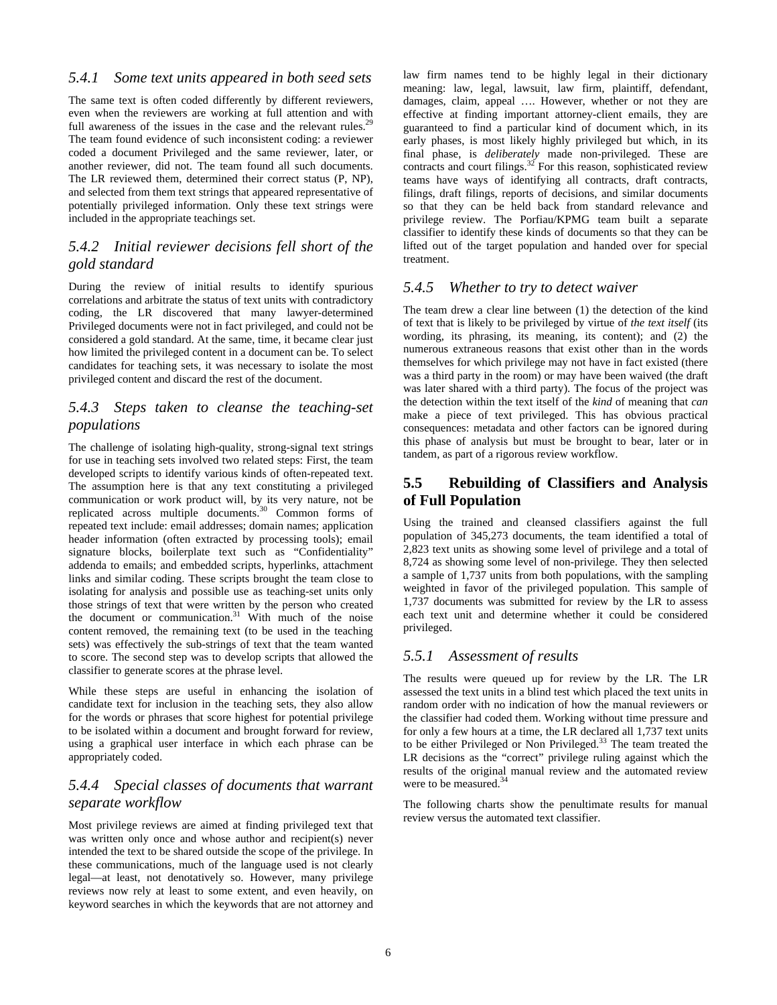#### *5.4.1 Some text units appeared in both seed sets*

The same text is often coded differently by different reviewers, even when the reviewers are working at full attention and with full awareness of the issues in the case and the relevant rules.<sup>29</sup> The team found evidence of such inconsistent coding: a reviewer coded a document Privileged and the same reviewer, later, or another reviewer, did not. The team found all such documents. The LR reviewed them, determined their correct status (P, NP), and selected from them text strings that appeared representative of potentially privileged information. Only these text strings were included in the appropriate teachings set.

#### *5.4.2 Initial reviewer decisions fell short of the gold standard*

During the review of initial results to identify spurious correlations and arbitrate the status of text units with contradictory coding, the LR discovered that many lawyer-determined Privileged documents were not in fact privileged, and could not be considered a gold standard. At the same, time, it became clear just how limited the privileged content in a document can be. To select candidates for teaching sets, it was necessary to isolate the most privileged content and discard the rest of the document.

## *5.4.3 Steps taken to cleanse the teaching-set populations*

The challenge of isolating high-quality, strong-signal text strings for use in teaching sets involved two related steps: First, the team developed scripts to identify various kinds of often-repeated text. The assumption here is that any text constituting a privileged communication or work product will, by its very nature, not be replicated across multiple documents.30 Common forms of repeated text include: email addresses; domain names; application header information (often extracted by processing tools); email signature blocks, boilerplate text such as "Confidentiality" addenda to emails; and embedded scripts, hyperlinks, attachment links and similar coding. These scripts brought the team close to isolating for analysis and possible use as teaching-set units only those strings of text that were written by the person who created the document or communication.<sup>31</sup> With much of the noise content removed, the remaining text (to be used in the teaching sets) was effectively the sub-strings of text that the team wanted to score. The second step was to develop scripts that allowed the classifier to generate scores at the phrase level.

While these steps are useful in enhancing the isolation of candidate text for inclusion in the teaching sets, they also allow for the words or phrases that score highest for potential privilege to be isolated within a document and brought forward for review, using a graphical user interface in which each phrase can be appropriately coded.

## *5.4.4 Special classes of documents that warrant separate workflow*

Most privilege reviews are aimed at finding privileged text that was written only once and whose author and recipient(s) never intended the text to be shared outside the scope of the privilege. In these communications, much of the language used is not clearly legal—at least, not denotatively so. However, many privilege reviews now rely at least to some extent, and even heavily, on keyword searches in which the keywords that are not attorney and

law firm names tend to be highly legal in their dictionary meaning: law, legal, lawsuit, law firm, plaintiff, defendant, damages, claim, appeal …. However, whether or not they are effective at finding important attorney-client emails, they are guaranteed to find a particular kind of document which, in its early phases, is most likely highly privileged but which, in its final phase, is *deliberately* made non-privileged. These are contracts and court filings. $32$  For this reason, sophisticated review teams have ways of identifying all contracts, draft contracts, filings, draft filings, reports of decisions, and similar documents so that they can be held back from standard relevance and privilege review. The Porfiau/KPMG team built a separate classifier to identify these kinds of documents so that they can be lifted out of the target population and handed over for special treatment.

#### *5.4.5 Whether to try to detect waiver*

The team drew a clear line between (1) the detection of the kind of text that is likely to be privileged by virtue of *the text itself* (its wording, its phrasing, its meaning, its content); and (2) the numerous extraneous reasons that exist other than in the words themselves for which privilege may not have in fact existed (there was a third party in the room) or may have been waived (the draft was later shared with a third party). The focus of the project was the detection within the text itself of the *kind* of meaning that *can* make a piece of text privileged. This has obvious practical consequences: metadata and other factors can be ignored during this phase of analysis but must be brought to bear, later or in tandem, as part of a rigorous review workflow.

#### **5.5 Rebuilding of Classifiers and Analysis of Full Population**

Using the trained and cleansed classifiers against the full population of 345,273 documents, the team identified a total of 2,823 text units as showing some level of privilege and a total of 8,724 as showing some level of non-privilege. They then selected a sample of 1,737 units from both populations, with the sampling weighted in favor of the privileged population. This sample of 1,737 documents was submitted for review by the LR to assess each text unit and determine whether it could be considered privileged.

#### *5.5.1 Assessment of results*

The results were queued up for review by the LR. The LR assessed the text units in a blind test which placed the text units in random order with no indication of how the manual reviewers or the classifier had coded them. Working without time pressure and for only a few hours at a time, the LR declared all 1,737 text units to be either Privileged or Non Privileged.33 The team treated the LR decisions as the "correct" privilege ruling against which the results of the original manual review and the automated review were to be measured.<sup>34</sup>

The following charts show the penultimate results for manual review versus the automated text classifier.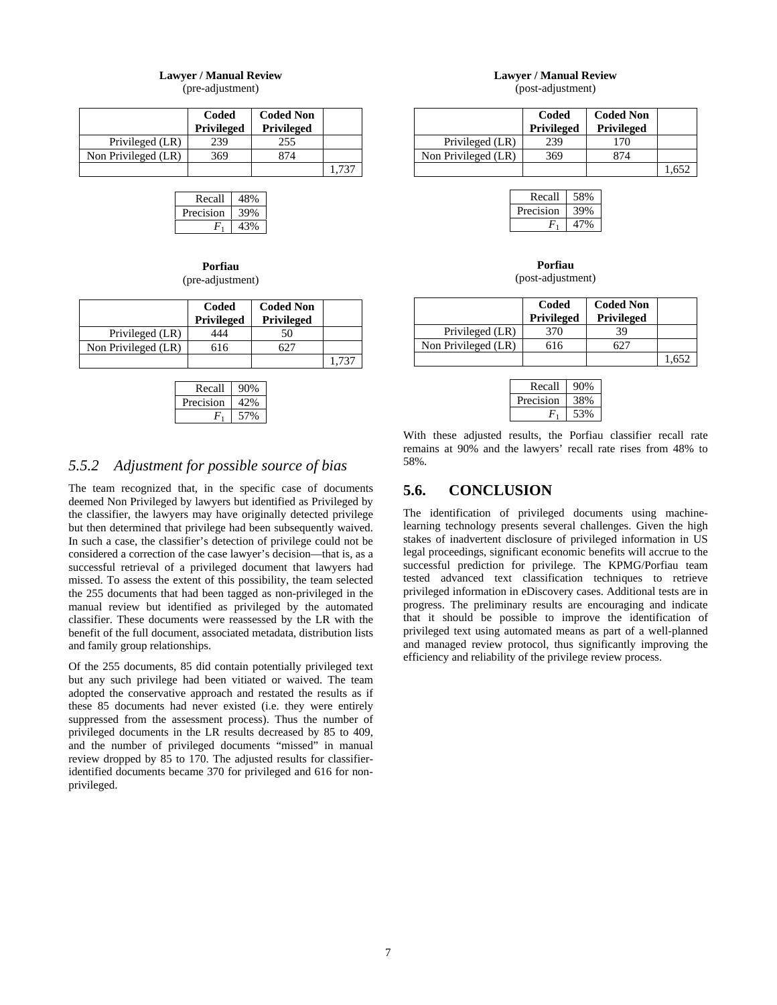#### **Lawyer / Manual Review**

(pre-adjustment)

|                     | Coded<br><b>Privileged</b> | <b>Coded Non</b><br><b>Privileged</b> |       |
|---------------------|----------------------------|---------------------------------------|-------|
| Privileged (LR)     | 239                        | 255                                   |       |
| Non Privileged (LR) | 369                        | 874                                   |       |
|                     |                            |                                       | 1 737 |

| Recall    | 48% |
|-----------|-----|
| Precision |     |
|           |     |

**Porfiau**  (pre-adjustment)

|                     | Coded<br><b>Privileged</b> | <b>Coded Non</b><br><b>Privileged</b> |  |
|---------------------|----------------------------|---------------------------------------|--|
| Privileged (LR)     | 444                        | 50                                    |  |
| Non Privileged (LR) | 616                        |                                       |  |
|                     |                            |                                       |  |

| Recall    | 0%  |
|-----------|-----|
| Precision | 42% |
|           |     |

### *5.5.2 Adjustment for possible source of bias*

The team recognized that, in the specific case of documents deemed Non Privileged by lawyers but identified as Privileged by the classifier, the lawyers may have originally detected privilege but then determined that privilege had been subsequently waived. In such a case, the classifier's detection of privilege could not be considered a correction of the case lawyer's decision—that is, as a successful retrieval of a privileged document that lawyers had missed. To assess the extent of this possibility, the team selected the 255 documents that had been tagged as non-privileged in the manual review but identified as privileged by the automated classifier. These documents were reassessed by the LR with the benefit of the full document, associated metadata, distribution lists and family group relationships.

Of the 255 documents, 85 did contain potentially privileged text but any such privilege had been vitiated or waived. The team adopted the conservative approach and restated the results as if these 85 documents had never existed (i.e. they were entirely suppressed from the assessment process). Thus the number of privileged documents in the LR results decreased by 85 to 409, and the number of privileged documents "missed" in manual review dropped by 85 to 170. The adjusted results for classifieridentified documents became 370 for privileged and 616 for nonprivileged.

# **Lawyer / Manual Review**

(post-adjustment)

|                     | Coded<br><b>Privileged</b> | <b>Coded Non</b><br><b>Privileged</b> |  |
|---------------------|----------------------------|---------------------------------------|--|
| Privileged (LR)     | 239                        | 170                                   |  |
| Non Privileged (LR) | 369                        | 374                                   |  |
|                     |                            |                                       |  |

| Recall    | 58% |
|-----------|-----|
| Precision |     |
|           |     |

**Porfiau**  (post-adjustment)

|                     | Coded<br><b>Privileged</b> | <b>Coded Non</b><br>Privileged |  |
|---------------------|----------------------------|--------------------------------|--|
| Privileged (LR)     | 370                        | 39                             |  |
| Non Privileged (LR) | 616                        |                                |  |
|                     |                            |                                |  |

| Recall    | 1% |
|-----------|----|
| Precision | i% |
|           |    |

With these adjusted results, the Porfiau classifier recall rate remains at 90% and the lawyers' recall rate rises from 48% to 58%.

#### **5.6. CONCLUSION**

The identification of privileged documents using machinelearning technology presents several challenges. Given the high stakes of inadvertent disclosure of privileged information in US legal proceedings, significant economic benefits will accrue to the successful prediction for privilege. The KPMG/Porfiau team tested advanced text classification techniques to retrieve privileged information in eDiscovery cases. Additional tests are in progress. The preliminary results are encouraging and indicate that it should be possible to improve the identification of privileged text using automated means as part of a well-planned and managed review protocol, thus significantly improving the efficiency and reliability of the privilege review process.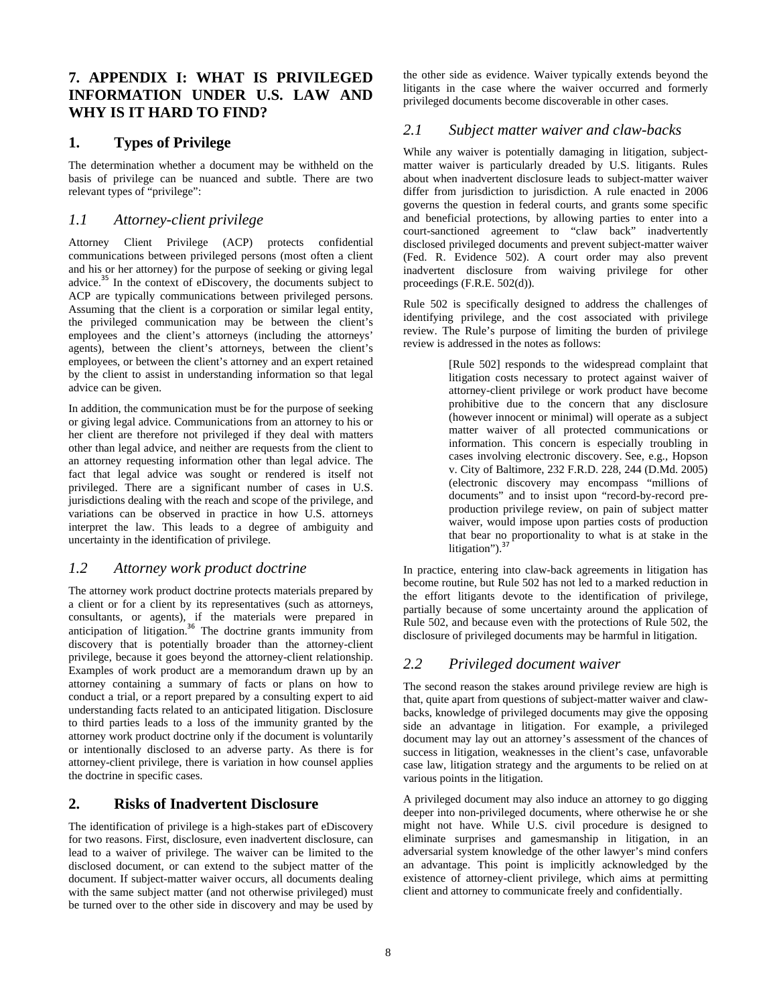## **7. APPENDIX I: WHAT IS PRIVILEGED INFORMATION UNDER U.S. LAW AND WHY IS IT HARD TO FIND?**

#### **1. Types of Privilege**

The determination whether a document may be withheld on the basis of privilege can be nuanced and subtle. There are two relevant types of "privilege":

#### *1.1 Attorney-client privilege*

Attorney Client Privilege (ACP) protects confidential communications between privileged persons (most often a client and his or her attorney) for the purpose of seeking or giving legal advice.<sup>35</sup> In the context of eDiscovery, the documents subject to ACP are typically communications between privileged persons. Assuming that the client is a corporation or similar legal entity, the privileged communication may be between the client's employees and the client's attorneys (including the attorneys' agents), between the client's attorneys, between the client's employees, or between the client's attorney and an expert retained by the client to assist in understanding information so that legal advice can be given.

In addition, the communication must be for the purpose of seeking or giving legal advice. Communications from an attorney to his or her client are therefore not privileged if they deal with matters other than legal advice, and neither are requests from the client to an attorney requesting information other than legal advice. The fact that legal advice was sought or rendered is itself not privileged. There are a significant number of cases in U.S. jurisdictions dealing with the reach and scope of the privilege, and variations can be observed in practice in how U.S. attorneys interpret the law. This leads to a degree of ambiguity and uncertainty in the identification of privilege.

#### *1.2 Attorney work product doctrine*

The attorney work product doctrine protects materials prepared by a client or for a client by its representatives (such as attorneys, consultants, or agents), if the materials were prepared in anticipation of litigation. $36$  The doctrine grants immunity from discovery that is potentially broader than the attorney-client privilege, because it goes beyond the attorney-client relationship. Examples of work product are a memorandum drawn up by an attorney containing a summary of facts or plans on how to conduct a trial, or a report prepared by a consulting expert to aid understanding facts related to an anticipated litigation. Disclosure to third parties leads to a loss of the immunity granted by the attorney work product doctrine only if the document is voluntarily or intentionally disclosed to an adverse party. As there is for attorney-client privilege, there is variation in how counsel applies the doctrine in specific cases.

#### **2. Risks of Inadvertent Disclosure**

The identification of privilege is a high-stakes part of eDiscovery for two reasons. First, disclosure, even inadvertent disclosure, can lead to a waiver of privilege. The waiver can be limited to the disclosed document, or can extend to the subject matter of the document. If subject-matter waiver occurs, all documents dealing with the same subject matter (and not otherwise privileged) must be turned over to the other side in discovery and may be used by

the other side as evidence. Waiver typically extends beyond the litigants in the case where the waiver occurred and formerly privileged documents become discoverable in other cases.

#### *2.1 Subject matter waiver and claw-backs*

While any waiver is potentially damaging in litigation, subjectmatter waiver is particularly dreaded by U.S. litigants. Rules about when inadvertent disclosure leads to subject-matter waiver differ from jurisdiction to jurisdiction. A rule enacted in 2006 governs the question in federal courts, and grants some specific and beneficial protections, by allowing parties to enter into a court-sanctioned agreement to "claw back" inadvertently disclosed privileged documents and prevent subject-matter waiver (Fed. R. Evidence 502). A court order may also prevent inadvertent disclosure from waiving privilege for other proceedings (F.R.E. 502(d)).

Rule 502 is specifically designed to address the challenges of identifying privilege, and the cost associated with privilege review. The Rule's purpose of limiting the burden of privilege review is addressed in the notes as follows:

> [Rule 502] responds to the widespread complaint that litigation costs necessary to protect against waiver of attorney-client privilege or work product have become prohibitive due to the concern that any disclosure (however innocent or minimal) will operate as a subject matter waiver of all protected communications or information. This concern is especially troubling in cases involving electronic discovery. See, e.g., Hopson v. City of Baltimore, 232 F.R.D. 228, 244 (D.Md. 2005) (electronic discovery may encompass "millions of documents" and to insist upon "record-by-record preproduction privilege review, on pain of subject matter waiver, would impose upon parties costs of production that bear no proportionality to what is at stake in the litigation"). $37$

In practice, entering into claw-back agreements in litigation has become routine, but Rule 502 has not led to a marked reduction in the effort litigants devote to the identification of privilege, partially because of some uncertainty around the application of Rule 502, and because even with the protections of Rule 502, the disclosure of privileged documents may be harmful in litigation.

## *2.2 Privileged document waiver*

The second reason the stakes around privilege review are high is that, quite apart from questions of subject-matter waiver and clawbacks, knowledge of privileged documents may give the opposing side an advantage in litigation. For example, a privileged document may lay out an attorney's assessment of the chances of success in litigation, weaknesses in the client's case, unfavorable case law, litigation strategy and the arguments to be relied on at various points in the litigation.

A privileged document may also induce an attorney to go digging deeper into non-privileged documents, where otherwise he or she might not have. While U.S. civil procedure is designed to eliminate surprises and gamesmanship in litigation, in an adversarial system knowledge of the other lawyer's mind confers an advantage. This point is implicitly acknowledged by the existence of attorney-client privilege, which aims at permitting client and attorney to communicate freely and confidentially.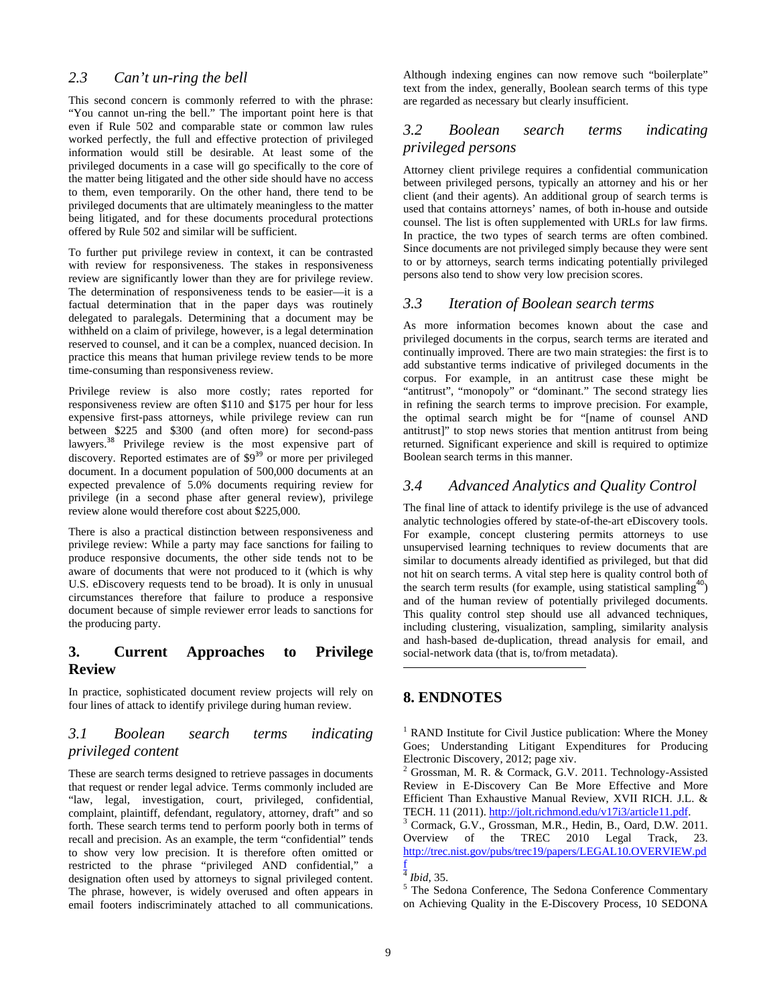## *2.3 Can't un-ring the bell*

This second concern is commonly referred to with the phrase: "You cannot un-ring the bell." The important point here is that even if Rule 502 and comparable state or common law rules worked perfectly, the full and effective protection of privileged information would still be desirable. At least some of the privileged documents in a case will go specifically to the core of the matter being litigated and the other side should have no access to them, even temporarily. On the other hand, there tend to be privileged documents that are ultimately meaningless to the matter being litigated, and for these documents procedural protections offered by Rule 502 and similar will be sufficient.

To further put privilege review in context, it can be contrasted with review for responsiveness. The stakes in responsiveness review are significantly lower than they are for privilege review. The determination of responsiveness tends to be easier—it is a factual determination that in the paper days was routinely delegated to paralegals. Determining that a document may be withheld on a claim of privilege, however, is a legal determination reserved to counsel, and it can be a complex, nuanced decision. In practice this means that human privilege review tends to be more time-consuming than responsiveness review.

Privilege review is also more costly; rates reported for responsiveness review are often \$110 and \$175 per hour for less expensive first-pass attorneys, while privilege review can run between \$225 and \$300 (and often more) for second-pass lawyers.<sup>38</sup> Privilege review is the most expensive part of discovery. Reported estimates are of  $\frac{$9^{39} \text{ or } \text{more}}{99}$  or more per privileged document. In a document population of 500,000 documents at an expected prevalence of 5.0% documents requiring review for privilege (in a second phase after general review), privilege review alone would therefore cost about \$225,000.

There is also a practical distinction between responsiveness and privilege review: While a party may face sanctions for failing to produce responsive documents, the other side tends not to be aware of documents that were not produced to it (which is why U.S. eDiscovery requests tend to be broad). It is only in unusual circumstances therefore that failure to produce a responsive document because of simple reviewer error leads to sanctions for the producing party.

## **3. Current Approaches to Privilege Review**

In practice, sophisticated document review projects will rely on four lines of attack to identify privilege during human review.

#### *3.1 Boolean search terms indicating privileged content*

These are search terms designed to retrieve passages in documents that request or render legal advice. Terms commonly included are "law, legal, investigation, court, privileged, confidential, complaint, plaintiff, defendant, regulatory, attorney, draft" and so forth. These search terms tend to perform poorly both in terms of recall and precision. As an example, the term "confidential" tends to show very low precision. It is therefore often omitted or restricted to the phrase "privileged AND confidential," a designation often used by attorneys to signal privileged content. The phrase, however, is widely overused and often appears in email footers indiscriminately attached to all communications.

Although indexing engines can now remove such "boilerplate" text from the index, generally, Boolean search terms of this type are regarded as necessary but clearly insufficient.

### *3.2 Boolean search terms indicating privileged persons*

Attorney client privilege requires a confidential communication between privileged persons, typically an attorney and his or her client (and their agents). An additional group of search terms is used that contains attorneys' names, of both in-house and outside counsel. The list is often supplemented with URLs for law firms. In practice, the two types of search terms are often combined. Since documents are not privileged simply because they were sent to or by attorneys, search terms indicating potentially privileged persons also tend to show very low precision scores.

#### *3.3 Iteration of Boolean search terms*

As more information becomes known about the case and privileged documents in the corpus, search terms are iterated and continually improved. There are two main strategies: the first is to add substantive terms indicative of privileged documents in the corpus. For example, in an antitrust case these might be "antitrust", "monopoly" or "dominant." The second strategy lies in refining the search terms to improve precision. For example, the optimal search might be for "[name of counsel AND antitrust]" to stop news stories that mention antitrust from being returned. Significant experience and skill is required to optimize Boolean search terms in this manner.

#### *3.4 Advanced Analytics and Quality Control*

The final line of attack to identify privilege is the use of advanced analytic technologies offered by state-of-the-art eDiscovery tools. For example, concept clustering permits attorneys to use unsupervised learning techniques to review documents that are similar to documents already identified as privileged, but that did not hit on search terms. A vital step here is quality control both of the search term results (for example, using statistical sampling<sup>40</sup>) and of the human review of potentially privileged documents. This quality control step should use all advanced techniques, including clustering, visualization, sampling, similarity analysis and hash-based de-duplication, thread analysis for email, and social-network data (that is, to/from metadata).

#### **8. ENDNOTES**

1

<sup>1</sup> RAND Institute for Civil Justice publication: Where the Money Goes; Understanding Litigant Expenditures for Producing Electronic Discovery, 2012; page xiv.

2 Grossman, M. R. & Cormack, G.V. 2011. Technology-Assisted Review in E-Discovery Can Be More Effective and More Efficient Than Exhaustive Manual Review, XVII RICH. J.L. & TECH. 11 (2011). http://jolt.richmond.edu/v17i3/article11.pdf. 3

<sup>3</sup> Cormack, G.V., Grossman, M.R., Hedin, B., Oard, D.W. 2011. Overview of the TREC 2010 Legal Track, 23. http://trec.nist.gov/pubs/trec19/papers/LEGAL10.OVERVIEW.pd

 $5$  The Sedona Conference, The Sedona Conference Commentary on Achieving Quality in the E-Discovery Process, 10 SEDONA

f  $\frac{4}{5}$ *Ibid*, 35.<br> $\frac{5}{5}$  The Sed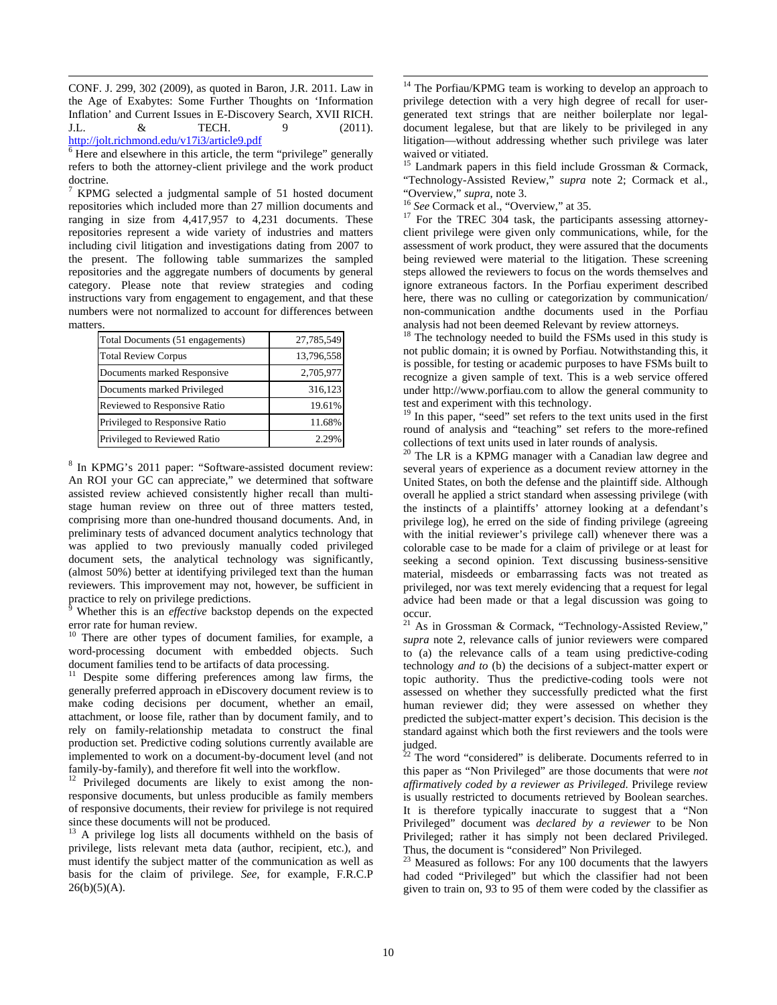$\overline{a}$ CONF. J. 299, 302 (2009), as quoted in Baron, J.R. 2011. Law in the Age of Exabytes: Some Further Thoughts on 'Information Inflation' and Current Issues in E-Discovery Search, XVII RICH. J.L. & TECH. 9 (2011). http://jolt.richmond.edu/v17i3/article9.pdf

6 Here and elsewhere in this article, the term "privilege" generally refers to both the attorney-client privilege and the work product doctrine.

 $7$  KPMG selected a judgmental sample of 51 hosted document repositories which included more than 27 million documents and ranging in size from 4,417,957 to 4,231 documents. These repositories represent a wide variety of industries and matters including civil litigation and investigations dating from 2007 to the present. The following table summarizes the sampled repositories and the aggregate numbers of documents by general category. Please note that review strategies and coding instructions vary from engagement to engagement, and that these numbers were not normalized to account for differences between matters.

| Total Documents (51 engagements) | 27,785,549 |
|----------------------------------|------------|
| <b>Total Review Corpus</b>       | 13,796,558 |
| Documents marked Responsive      | 2,705,977  |
| Documents marked Privileged      | 316,123    |
| Reviewed to Responsive Ratio     | 19.61%     |
| Privileged to Responsive Ratio   | 11.68%     |
| Privileged to Reviewed Ratio     | 2.299      |

<sup>8</sup> In KPMG's 2011 paper: "Software-assisted document review: An ROI your GC can appreciate," we determined that software assisted review achieved consistently higher recall than multistage human review on three out of three matters tested, comprising more than one-hundred thousand documents. And, in preliminary tests of advanced document analytics technology that was applied to two previously manually coded privileged document sets, the analytical technology was significantly, (almost 50%) better at identifying privileged text than the human reviewers. This improvement may not, however, be sufficient in practice to rely on privilege predictions.<br><sup>9</sup> Whether this is an *effective* backston.

 Whether this is an *effective* backstop depends on the expected error rate for human review.

<sup>10</sup> There are other types of document families, for example, a word-processing document with embedded objects. Such document families tend to be artifacts of data processing.

Despite some differing preferences among law firms, the generally preferred approach in eDiscovery document review is to make coding decisions per document, whether an email, attachment, or loose file, rather than by document family, and to rely on family-relationship metadata to construct the final production set. Predictive coding solutions currently available are implemented to work on a document-by-document level (and not family-by-family), and therefore fit well into the workflow.

<sup>12</sup> Privileged documents are likely to exist among the nonresponsive documents, but unless producible as family members of responsive documents, their review for privilege is not required since these documents will not be produced.

 $^{13}$  A privilege log lists all documents withheld on the basis of privilege, lists relevant meta data (author, recipient, etc.), and must identify the subject matter of the communication as well as basis for the claim of privilege. *See*, for example, F.R.C.P  $26(b)(5)(A)$ .

 $\overline{a}$ <sup>14</sup> The Porfiau/KPMG team is working to develop an approach to privilege detection with a very high degree of recall for usergenerated text strings that are neither boilerplate nor legaldocument legalese, but that are likely to be privileged in any litigation—without addressing whether such privilege was later waived or vitiated.

<sup>15</sup> Landmark papers in this field include Grossman & Cormack, "Technology-Assisted Review," *supra* note 2; Cormack et al.,

<sup>16</sup> See Cormack et al., "Overview," at 35. <sup>17</sup> For the TREC 304 task, the participants assessing attorneyclient privilege were given only communications, while, for the assessment of work product, they were assured that the documents being reviewed were material to the litigation. These screening steps allowed the reviewers to focus on the words themselves and ignore extraneous factors. In the Porfiau experiment described here, there was no culling or categorization by communication/ non-communication andthe documents used in the Porfiau analysis had not been deemed Relevant by review attorneys.

<sup>18</sup> The technology needed to build the FSMs used in this study is not public domain; it is owned by Porfiau. Notwithstanding this, it is possible, for testing or academic purposes to have FSMs built to recognize a given sample of text. This is a web service offered under http://www.porfiau.com to allow the general community to test and experiment with this technology.

19 In this paper, "seed" set refers to the text units used in the first round of analysis and "teaching" set refers to the more-refined collections of text units used in later rounds of analysis. 20 The LR is a KPMG manager with a Canadian law degree and

several years of experience as a document review attorney in the United States, on both the defense and the plaintiff side. Although overall he applied a strict standard when assessing privilege (with the instincts of a plaintiffs' attorney looking at a defendant's privilege log), he erred on the side of finding privilege (agreeing with the initial reviewer's privilege call) whenever there was a colorable case to be made for a claim of privilege or at least for seeking a second opinion. Text discussing business-sensitive material, misdeeds or embarrassing facts was not treated as privileged, nor was text merely evidencing that a request for legal advice had been made or that a legal discussion was going to occur.

<sup>21</sup> As in Grossman & Cormack, "Technology-Assisted Review," *supra* note 2, relevance calls of junior reviewers were compared to (a) the relevance calls of a team using predictive-coding technology *and to* (b) the decisions of a subject-matter expert or topic authority. Thus the predictive-coding tools were not assessed on whether they successfully predicted what the first human reviewer did; they were assessed on whether they predicted the subject-matter expert's decision. This decision is the standard against which both the first reviewers and the tools were  $\frac{J}{22}$  =

<sup>2</sup> The word "considered" is deliberate. Documents referred to in this paper as "Non Privileged" are those documents that were *not affirmatively coded by a reviewer as Privileged*. Privilege review is usually restricted to documents retrieved by Boolean searches. It is therefore typically inaccurate to suggest that a "Non Privileged" document was *declared by a reviewer* to be Non Privileged; rather it has simply not been declared Privileged. Thus, the document is "considered" Non Privileged.

 $23$  Measured as follows: For any 100 documents that the lawyers had coded "Privileged" but which the classifier had not been given to train on, 93 to 95 of them were coded by the classifier as